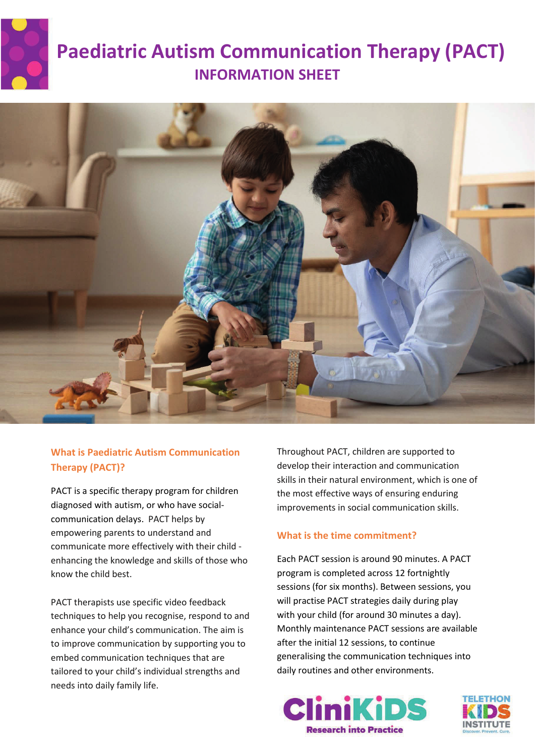

# **Paediatric Autism Communication Therapy (PACT) INFORMATION SHEET**



## **What is Paediatric Autism Communication Therapy (PACT)?**

PACT is a specific therapy program for children diagnosed with autism, or who have socialcommunication delays. PACT helps by empowering parents to understand and communicate more effectively with their child enhancing the knowledge and skills of those who know the child best.

PACT therapists use specific video feedback techniques to help you recognise, respond to and enhance your child's communication. The aim is to improve communication by supporting you to embed communication techniques that are tailored to your child's individual strengths and needs into daily family life.

Throughout PACT, children are supported to develop their interaction and communication skills in their natural environment, which is one of the most effective ways of ensuring enduring improvements in social communication skills.

## **What is the time commitment?**

Each PACT session is around 90 minutes. A PACT program is completed across 12 fortnightly sessions (for six months). Between sessions, you will practise PACT strategies daily during play with your child (for around 30 minutes a day). Monthly maintenance PACT sessions are available after the initial 12 sessions, to continue generalising the communication techniques into daily routines and other environments.